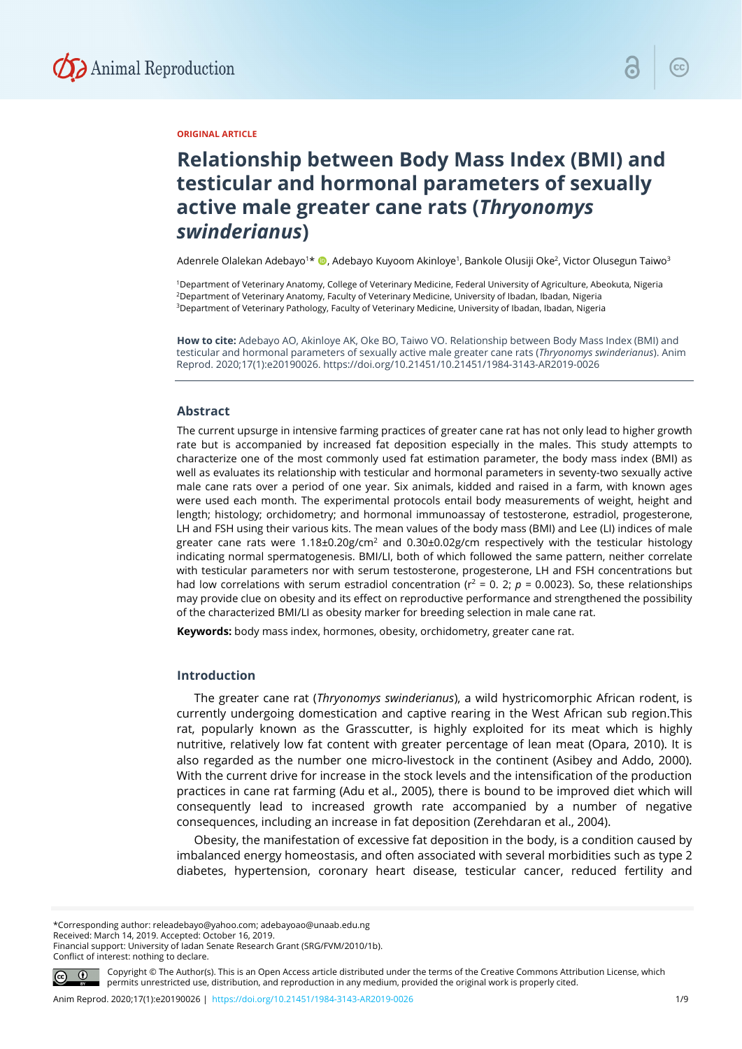

## **ORIGINAL ARTICLE**

# **Relationship between Body Mass Index (BMI) and testicular and hormonal parameters of sexually active male greater cane rats (***Thryonomys swinderianus***)**

Adenrele Olalekan Adebayo<sup>1</sup>\* ©, Adebayo Kuyoom Akinloye<sup>1</sup>, Bankole Olusiji Oke<sup>2</sup>, Victor Olusegun Taiwo<sup>3</sup>

1Department of Veterinary Anatomy, College of Veterinary Medicine, Federal University of Agriculture, Abeokuta, Nigeria <sup>2</sup>Department of Veterinary Anatomy, Faculty of Veterinary Medicine, University of Ibadan, Ibadan, Nigeria <sup>3</sup>Department of Veterinary Pathology, Faculty of Veterinary Medicine, University of Ibadan, Ibadan, Nigeria

**How to cite:** Adebayo AO, Akinloye AK, Oke BO, Taiwo VO. Relationship between Body Mass Index (BMI) and testicular and hormonal parameters of sexually active male greater cane rats (*Thryonomys swinderianus*). Anim Reprod. 2020;17(1):e20190026. https://doi.org/10.21451/10.21451/1984-3143-AR2019-0026

#### **Abstract**

The current upsurge in intensive farming practices of greater cane rat has not only lead to higher growth rate but is accompanied by increased fat deposition especially in the males. This study attempts to characterize one of the most commonly used fat estimation parameter, the body mass index (BMI) as well as evaluates its relationship with testicular and hormonal parameters in seventy-two sexually active male cane rats over a period of one year. Six animals, kidded and raised in a farm, with known ages were used each month. The experimental protocols entail body measurements of weight, height and length; histology; orchidometry; and hormonal immunoassay of testosterone, estradiol, progesterone, LH and FSH using their various kits. The mean values of the body mass (BMI) and Lee (LI) indices of male greater cane rats were  $1.18\pm0.20$ g/cm<sup>2</sup> and  $0.30\pm0.02$ g/cm respectively with the testicular histology indicating normal spermatogenesis. BMI/LI, both of which followed the same pattern, neither correlate with testicular parameters nor with serum testosterone, progesterone, LH and FSH concentrations but had low correlations with serum estradiol concentration ( $r^2$  = 0. 2;  $p$  = 0.0023). So, these relationships may provide clue on obesity and its effect on reproductive performance and strengthened the possibility of the characterized BMI/LI as obesity marker for breeding selection in male cane rat.

**Keywords:** body mass index, hormones, obesity, orchidometry, greater cane rat.

# **Introduction**

The greater cane rat (*Thryonomys swinderianus*), a wild hystricomorphic African rodent, is currently undergoing domestication and captive rearing in the West African sub region.This rat, popularly known as the Grasscutter, is highly exploited for its meat which is highly nutritive, relatively low fat content with greater percentage of lean meat (Opara, 2010). It is also regarded as the number one micro-livestock in the continent (Asibey and Addo, 2000). With the current drive for increase in the stock levels and the intensification of the production practices in cane rat farming (Adu et al., 2005), there is bound to be improved diet which will consequently lead to increased growth rate accompanied by a number of negative consequences, including an increase in fat deposition (Zerehdaran et al., 2004).

Obesity, the manifestation of excessive fat deposition in the body, is a condition caused by imbalanced energy homeostasis, and often associated with several morbidities such as type 2 diabetes, hypertension, coronary heart disease, testicular cancer, reduced fertility and

\*Corresponding author: releadebayo@yahoo.com; adebayoao@unaab.edu.ng Received: March 14, 2019. Accepted: October 16, 2019. Financial support: University of Iadan Senate Research Grant (SRG/FVM/2010/1b). Conflict of interest: nothing to declare.



Copyright © The Author(s). This is an Open Access article distributed under the terms of the Creative Commons Attribution License, which permits unrestricted use, distribution, and reproduction in any medium, provided the original work is properly cited.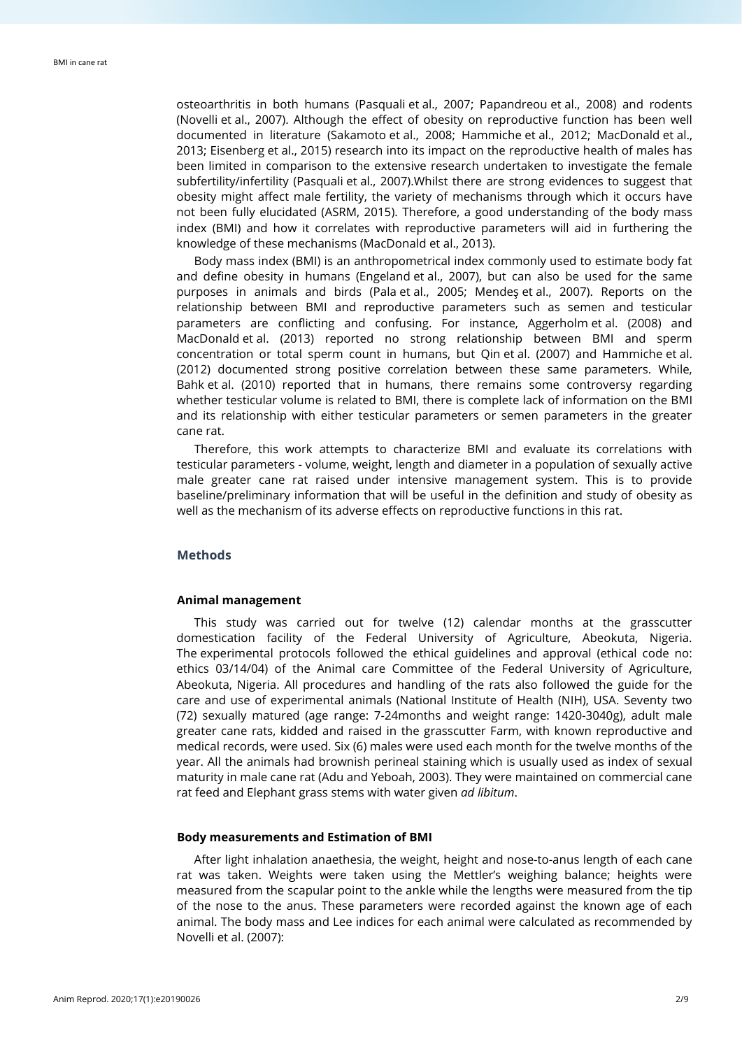osteoarthritis in both humans (Pasquali et al., 2007; Papandreou et al., 2008) and rodents (Novelli et al., 2007). Although the effect of obesity on reproductive function has been well documented in literature (Sakamoto et al., 2008; Hammiche et al., 2012; MacDonald et al., 2013; Eisenberg et al., 2015) research into its impact on the reproductive health of males has been limited in comparison to the extensive research undertaken to investigate the female subfertility/infertility (Pasquali et al., 2007).Whilst there are strong evidences to suggest that obesity might affect male fertility, the variety of mechanisms through which it occurs have not been fully elucidated (ASRM, 2015). Therefore, a good understanding of the body mass index (BMI) and how it correlates with reproductive parameters will aid in furthering the knowledge of these mechanisms (MacDonald et al., 2013).

Body mass index (BMI) is an anthropometrical index commonly used to estimate body fat and define obesity in humans (Engeland et al., 2007), but can also be used for the same purposes in animals and birds (Pala et al., 2005; Mendeş et al., 2007). Reports on the relationship between BMI and reproductive parameters such as semen and testicular parameters are conflicting and confusing. For instance, Aggerholm et al. (2008) and MacDonald et al. (2013) reported no strong relationship between BMI and sperm concentration or total sperm count in humans, but Qin et al. (2007) and Hammiche et al. (2012) documented strong positive correlation between these same parameters. While, Bahk et al. (2010) reported that in humans, there remains some controversy regarding whether testicular volume is related to BMI, there is complete lack of information on the BMI and its relationship with either testicular parameters or semen parameters in the greater cane rat.

Therefore, this work attempts to characterize BMI and evaluate its correlations with testicular parameters - volume, weight, length and diameter in a population of sexually active male greater cane rat raised under intensive management system. This is to provide baseline/preliminary information that will be useful in the definition and study of obesity as well as the mechanism of its adverse effects on reproductive functions in this rat.

## **Methods**

#### **Animal management**

This study was carried out for twelve (12) calendar months at the grasscutter domestication facility of the Federal University of Agriculture, Abeokuta, Nigeria. The experimental protocols followed the ethical guidelines and approval (ethical code no: ethics 03/14/04) of the Animal care Committee of the Federal University of Agriculture, Abeokuta, Nigeria. All procedures and handling of the rats also followed the guide for the care and use of experimental animals (National Institute of Health (NIH), USA. Seventy two (72) sexually matured (age range: 7-24months and weight range: 1420-3040g), adult male greater cane rats, kidded and raised in the grasscutter Farm, with known reproductive and medical records, were used. Six (6) males were used each month for the twelve months of the year. All the animals had brownish perineal staining which is usually used as index of sexual maturity in male cane rat (Adu and Yeboah, 2003). They were maintained on commercial cane rat feed and Elephant grass stems with water given *ad libitum*.

#### **Body measurements and Estimation of BMI**

After light inhalation anaethesia, the weight, height and nose-to-anus length of each cane rat was taken. Weights were taken using the Mettler's weighing balance; heights were measured from the scapular point to the ankle while the lengths were measured from the tip of the nose to the anus. These parameters were recorded against the known age of each animal. The body mass and Lee indices for each animal were calculated as recommended by Novelli et al. (2007):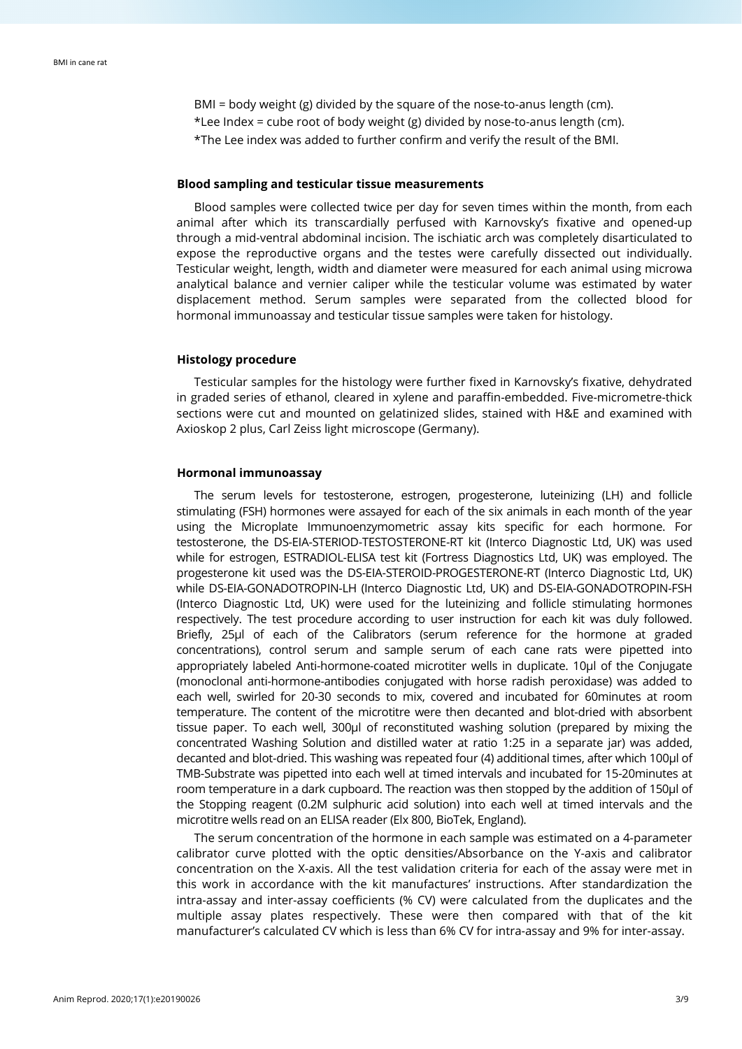BMI = body weight (g) divided by the square of the nose-to-anus length (cm). \*Lee Index = cube root of body weight (g) divided by nose-to-anus length (cm). \*The Lee index was added to further confirm and verify the result of the BMI.

### **Blood sampling and testicular tissue measurements**

Blood samples were collected twice per day for seven times within the month, from each animal after which its transcardially perfused with Karnovsky's fixative and opened-up through a mid-ventral abdominal incision. The ischiatic arch was completely disarticulated to expose the reproductive organs and the testes were carefully dissected out individually. Testicular weight, length, width and diameter were measured for each animal using microwa analytical balance and vernier caliper while the testicular volume was estimated by water displacement method. Serum samples were separated from the collected blood for hormonal immunoassay and testicular tissue samples were taken for histology.

# **Histology procedure**

Testicular samples for the histology were further fixed in Karnovsky's fixative, dehydrated in graded series of ethanol, cleared in xylene and paraffin-embedded. Five-micrometre-thick sections were cut and mounted on gelatinized slides, stained with H&E and examined with Axioskop 2 plus, Carl Zeiss light microscope (Germany).

# **Hormonal immunoassay**

The serum levels for testosterone, estrogen, progesterone, luteinizing (LH) and follicle stimulating (FSH) hormones were assayed for each of the six animals in each month of the year using the Microplate Immunoenzymometric assay kits specific for each hormone. For testosterone, the DS-EIA-STERIOD-TESTOSTERONE-RT kit (Interco Diagnostic Ltd, UK) was used while for estrogen, ESTRADIOL-ELISA test kit (Fortress Diagnostics Ltd, UK) was employed. The progesterone kit used was the DS-EIA-STEROID-PROGESTERONE-RT (Interco Diagnostic Ltd, UK) while DS-EIA-GONADOTROPIN-LH (Interco Diagnostic Ltd, UK) and DS-EIA-GONADOTROPIN-FSH (Interco Diagnostic Ltd, UK) were used for the luteinizing and follicle stimulating hormones respectively. The test procedure according to user instruction for each kit was duly followed. Briefly, 25µl of each of the Calibrators (serum reference for the hormone at graded concentrations), control serum and sample serum of each cane rats were pipetted into appropriately labeled Anti-hormone-coated microtiter wells in duplicate. 10µl of the Conjugate (monoclonal anti-hormone-antibodies conjugated with horse radish peroxidase) was added to each well, swirled for 20-30 seconds to mix, covered and incubated for 60minutes at room temperature. The content of the microtitre were then decanted and blot-dried with absorbent tissue paper. To each well, 300µl of reconstituted washing solution (prepared by mixing the concentrated Washing Solution and distilled water at ratio 1:25 in a separate jar) was added, decanted and blot-dried. This washing was repeated four (4) additional times, after which 100µl of TMB-Substrate was pipetted into each well at timed intervals and incubated for 15-20minutes at room temperature in a dark cupboard. The reaction was then stopped by the addition of 150µl of the Stopping reagent (0.2M sulphuric acid solution) into each well at timed intervals and the microtitre wells read on an ELISA reader (Elx 800, BioTek, England).

The serum concentration of the hormone in each sample was estimated on a 4-parameter calibrator curve plotted with the optic densities/Absorbance on the Y-axis and calibrator concentration on the X-axis. All the test validation criteria for each of the assay were met in this work in accordance with the kit manufactures' instructions. After standardization the intra-assay and inter-assay coefficients (% CV) were calculated from the duplicates and the multiple assay plates respectively. These were then compared with that of the kit manufacturer's calculated CV which is less than 6% CV for intra-assay and 9% for inter-assay.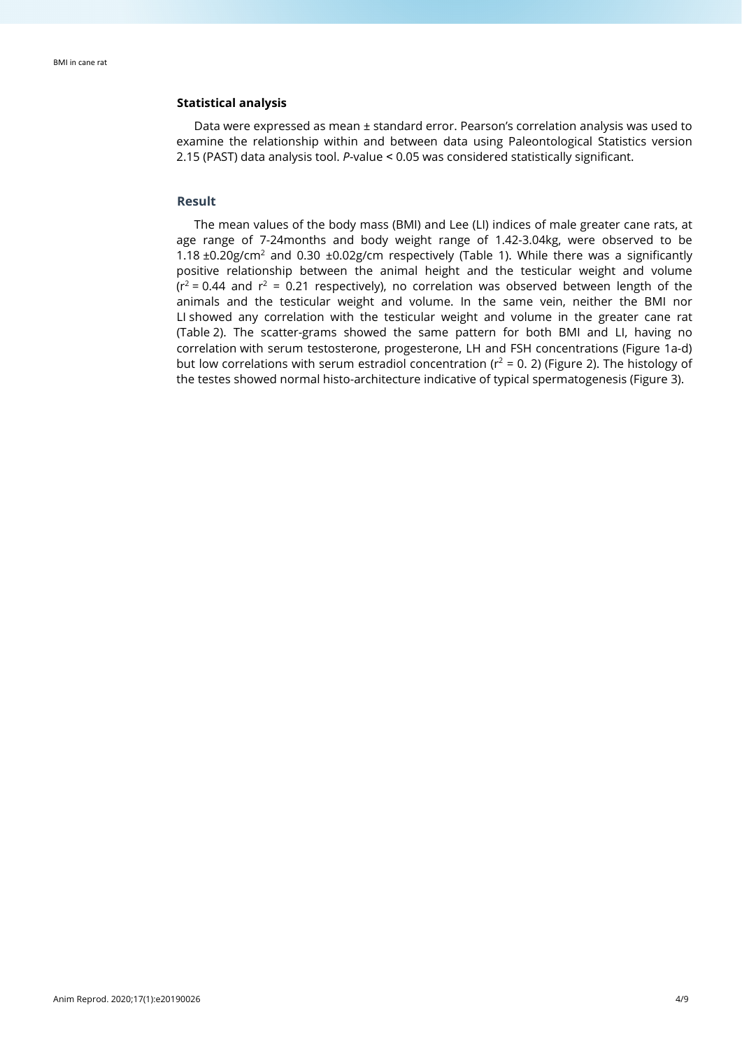# **Statistical analysis**

Data were expressed as mean ± standard error. Pearson's correlation analysis was used to examine the relationship within and between data using Paleontological Statistics version 2.15 (PAST) data analysis tool. *P*-value ˂ 0.05 was considered statistically significant.

# **Result**

The mean values of the body mass (BMI) and Lee (LI) indices of male greater cane rats, at age range of 7-24months and body weight range of 1.42-3.04kg, were observed to be 1.18  $\pm$ 0.20g/cm<sup>2</sup> and 0.30  $\pm$ 0.02g/cm respectively (Table 1). While there was a significantly positive relationship between the animal height and the testicular weight and volume  $(r^2 = 0.44$  and  $r^2 = 0.21$  respectively), no correlation was observed between length of the animals and the testicular weight and volume. In the same vein, neither the BMI nor LI showed any correlation with the testicular weight and volume in the greater cane rat (Table 2). The scatter-grams showed the same pattern for both BMI and LI, having no correlation with serum testosterone, progesterone, LH and FSH concentrations (Figure 1a-d) but low correlations with serum estradiol concentration ( $r^2 = 0$ , 2) (Figure 2). The histology of the testes showed normal histo-architecture indicative of typical spermatogenesis (Figure 3).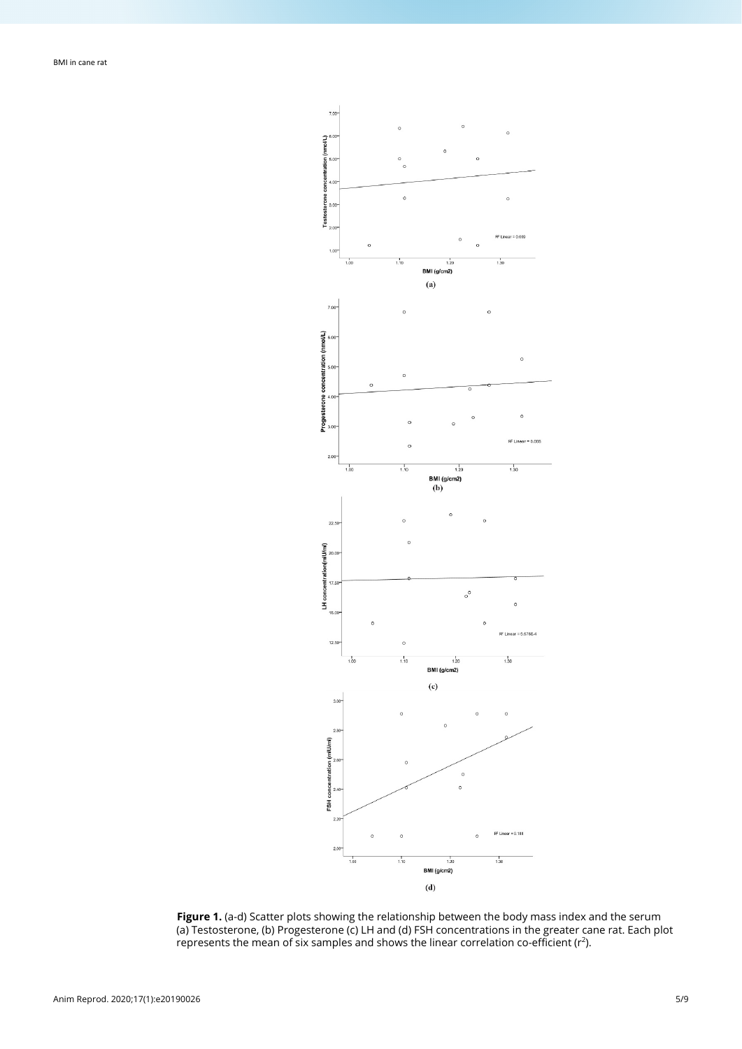

**Figure 1.** (a-d) Scatter plots showing the relationship between the body mass index and the serum (a) Testosterone, (b) Progesterone (c) LH and (d) FSH concentrations in the greater cane rat. Each plot represents the mean of six samples and shows the linear correlation co-efficient ( $r^2$ ).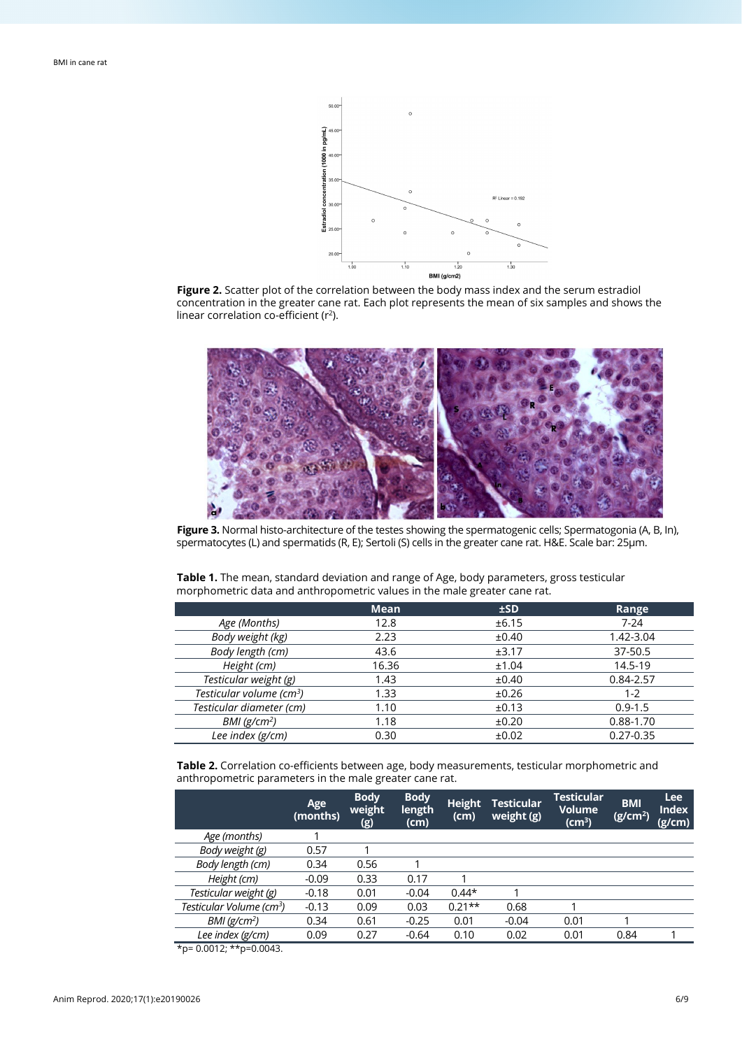

**Figure 2.** Scatter plot of the correlation between the body mass index and the serum estradiol concentration in the greater cane rat. Each plot represents the mean of six samples and shows the linear correlation co-efficient ( $r^2$ ).



**Figure 3.** Normal histo-architecture of the testes showing the spermatogenic cells; Spermatogonia (A, B, In), spermatocytes (L) and spermatids (R, E); Sertoli (S) cells in the greater cane rat. H&E. Scale bar: 25µm.

| morphometric data and anthropometric values in the male greater cane rat. |      |       |       |  |  |  |  |
|---------------------------------------------------------------------------|------|-------|-------|--|--|--|--|
|                                                                           | Mean | ±SD.  | Range |  |  |  |  |
| Age (Months)                                                              | 12.8 | ±6.15 | 7-24  |  |  |  |  |
|                                                                           |      |       |       |  |  |  |  |

**Table 1.** The mean, standard deviation and range of Age, body parameters, gross testicular

| Age (Months)                         | 12.8  | ±6.15 | $7-24$        |
|--------------------------------------|-------|-------|---------------|
| Body weight (kg)                     | 2.23  | ±0.40 | 1.42-3.04     |
| Body length (cm)                     | 43.6  | ±3.17 | 37-50.5       |
| Height (cm)                          | 16.36 | ±1.04 | 14.5-19       |
| Testicular weight (g)                | 1.43  | ±0.40 | 0.84-2.57     |
| Testicular volume (cm <sup>3</sup> ) | 1.33  | ±0.26 | $1 - 2$       |
| Testicular diameter (cm)             | 1.10  | ±0.13 | $0.9 - 1.5$   |
| BMI(g/cm <sup>2</sup> )              | 1.18  | ±0.20 | 0.88-1.70     |
| Lee index (g/cm)                     | 0.30  | ±0.02 | $0.27 - 0.35$ |

**Table 2.** Correlation co-efficients between age, body measurements, testicular morphometric and anthropometric parameters in the male greater cane rat.

|                                      | Age<br>(months) | <b>Body</b><br>weight<br>(g) | <b>Body</b><br>length<br>(cm) | <b>Height</b><br>(cm) | <b>Testicular</b><br>weight (g) | <b>Testicular</b><br><b>Volume</b><br>(cm $^3$ ) | <b>BMI</b><br>(g/cm <sup>2</sup> ) | <b>Lee</b><br><b>Index</b><br>(g/cm) |
|--------------------------------------|-----------------|------------------------------|-------------------------------|-----------------------|---------------------------------|--------------------------------------------------|------------------------------------|--------------------------------------|
| Age (months)                         |                 |                              |                               |                       |                                 |                                                  |                                    |                                      |
| Body weight (g)                      | 0.57            |                              |                               |                       |                                 |                                                  |                                    |                                      |
| Body length (cm)                     | 0.34            | 0.56                         |                               |                       |                                 |                                                  |                                    |                                      |
| Height (cm)                          | $-0.09$         | 0.33                         | 0.17                          |                       |                                 |                                                  |                                    |                                      |
| Testicular weight (g)                | $-0.18$         | 0.01                         | $-0.04$                       | $0.44*$               |                                 |                                                  |                                    |                                      |
| Testicular Volume (cm <sup>3</sup> ) | $-0.13$         | 0.09                         | 0.03                          | $0.21**$              | 0.68                            |                                                  |                                    |                                      |
| $BMI$ (g/cm <sup>2</sup> )           | 0.34            | 0.61                         | $-0.25$                       | 0.01                  | $-0.04$                         | 0.01                                             |                                    |                                      |
| Lee index (g/cm)                     | 0.09            | 0.27                         | $-0.64$                       | 0.10                  | 0.02                            | 0.01                                             | 0.84                               |                                      |
| $*_{n-}$ 0.0012. $*_{n-}$ 0.0012     |                 |                              |                               |                       |                                 |                                                  |                                    |                                      |

0.0012; \*\*p= 0.0043.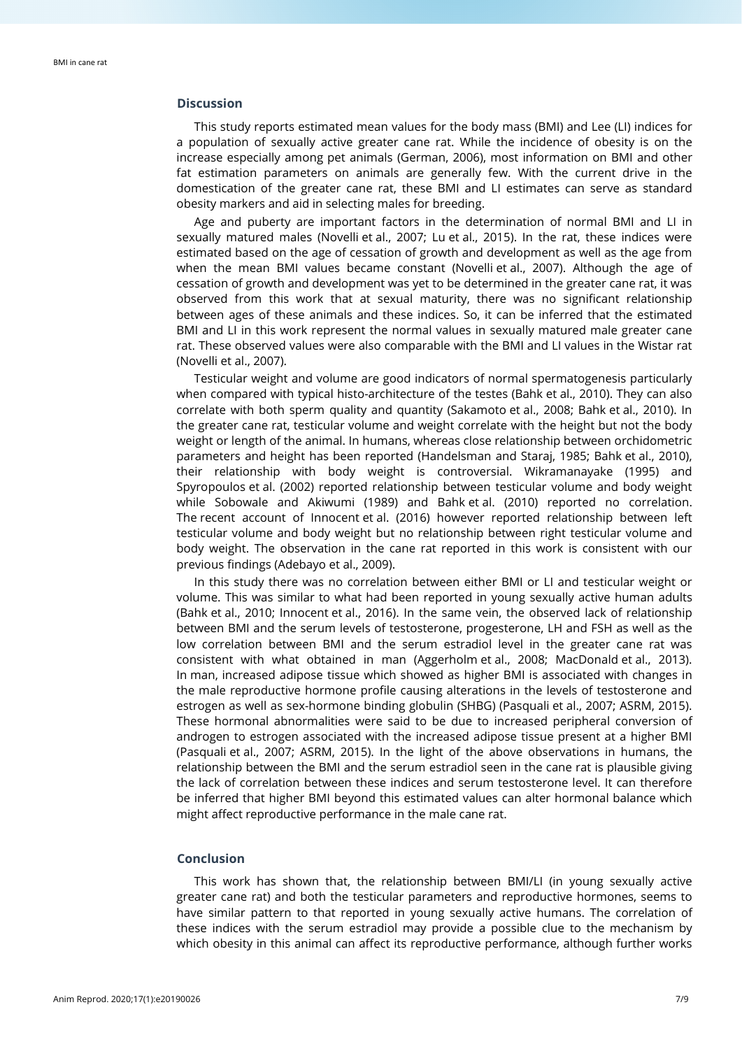## **Discussion**

This study reports estimated mean values for the body mass (BMI) and Lee (LI) indices for a population of sexually active greater cane rat. While the incidence of obesity is on the increase especially among pet animals (German, 2006), most information on BMI and other fat estimation parameters on animals are generally few. With the current drive in the domestication of the greater cane rat, these BMI and LI estimates can serve as standard obesity markers and aid in selecting males for breeding.

Age and puberty are important factors in the determination of normal BMI and LI in sexually matured males (Novelli et al., 2007; Lu et al., 2015). In the rat, these indices were estimated based on the age of cessation of growth and development as well as the age from when the mean BMI values became constant (Novelli et al., 2007). Although the age of cessation of growth and development was yet to be determined in the greater cane rat, it was observed from this work that at sexual maturity, there was no significant relationship between ages of these animals and these indices. So, it can be inferred that the estimated BMI and LI in this work represent the normal values in sexually matured male greater cane rat. These observed values were also comparable with the BMI and LI values in the Wistar rat (Novelli et al., 2007).

Testicular weight and volume are good indicators of normal spermatogenesis particularly when compared with typical histo-architecture of the testes (Bahk et al., 2010). They can also correlate with both sperm quality and quantity (Sakamoto et al., 2008; Bahk et al., 2010). In the greater cane rat, testicular volume and weight correlate with the height but not the body weight or length of the animal. In humans, whereas close relationship between orchidometric parameters and height has been reported (Handelsman and Staraj, 1985; Bahk et al., 2010), their relationship with body weight is controversial. Wikramanayake (1995) and Spyropoulos et al. (2002) reported relationship between testicular volume and body weight while Sobowale and Akiwumi (1989) and Bahk et al. (2010) reported no correlation. The recent account of Innocent et al. (2016) however reported relationship between left testicular volume and body weight but no relationship between right testicular volume and body weight. The observation in the cane rat reported in this work is consistent with our previous findings (Adebayo et al., 2009).

In this study there was no correlation between either BMI or LI and testicular weight or volume. This was similar to what had been reported in young sexually active human adults (Bahk et al., 2010; Innocent et al., 2016). In the same vein, the observed lack of relationship between BMI and the serum levels of testosterone, progesterone, LH and FSH as well as the low correlation between BMI and the serum estradiol level in the greater cane rat was consistent with what obtained in man (Aggerholm et al., 2008; MacDonald et al., 2013). In man, increased adipose tissue which showed as higher BMI is associated with changes in the male reproductive hormone profile causing alterations in the levels of testosterone and estrogen as well as sex-hormone binding globulin (SHBG) (Pasquali et al., 2007; ASRM, 2015). These hormonal abnormalities were said to be due to increased peripheral conversion of androgen to estrogen associated with the increased adipose tissue present at a higher BMI (Pasquali et al., 2007; ASRM, 2015). In the light of the above observations in humans, the relationship between the BMI and the serum estradiol seen in the cane rat is plausible giving the lack of correlation between these indices and serum testosterone level. It can therefore be inferred that higher BMI beyond this estimated values can alter hormonal balance which might affect reproductive performance in the male cane rat.

# **Conclusion**

This work has shown that, the relationship between BMI/LI (in young sexually active greater cane rat) and both the testicular parameters and reproductive hormones, seems to have similar pattern to that reported in young sexually active humans. The correlation of these indices with the serum estradiol may provide a possible clue to the mechanism by which obesity in this animal can affect its reproductive performance, although further works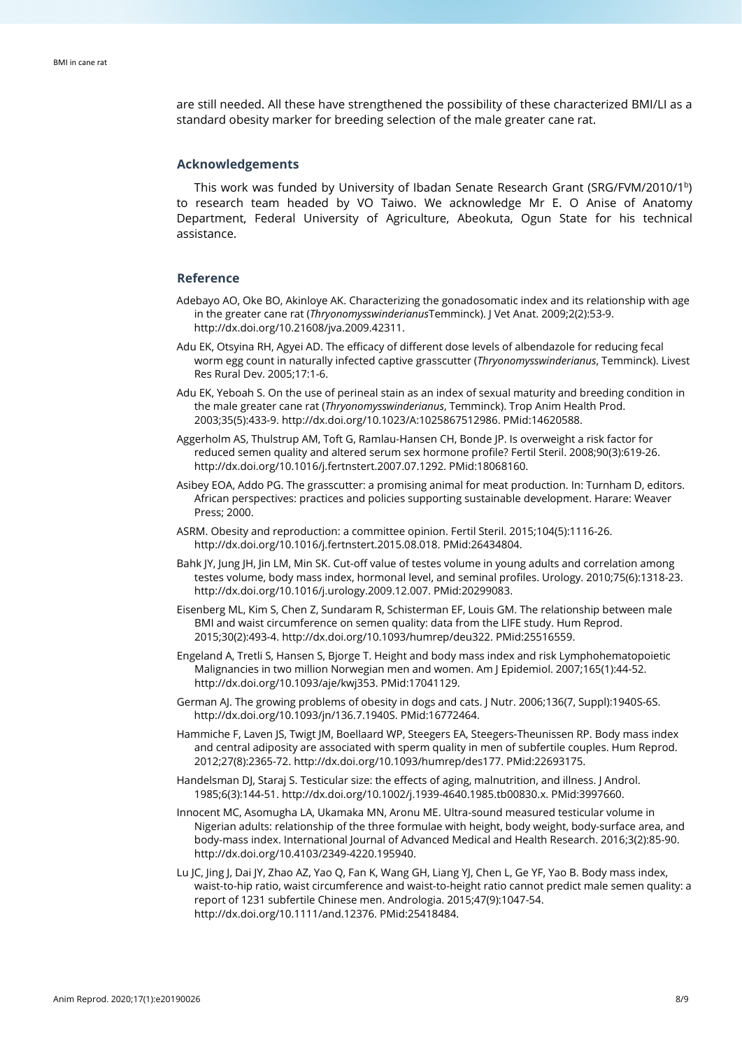are still needed. All these have strengthened the possibility of these characterized BMI/LI as a standard obesity marker for breeding selection of the male greater cane rat.

# **Acknowledgements**

This work was funded by University of Ibadan Senate Research Grant (SRG/FVM/2010/1b) to research team headed by VO Taiwo. We acknowledge Mr E. O Anise of Anatomy Department, Federal University of Agriculture, Abeokuta, Ogun State for his technical assistance.

#### **Reference**

- Adebayo AO, Oke BO, Akinloye AK. Characterizing the gonadosomatic index and its relationship with age in the greater cane rat (*Thryonomysswinderianus*Temminck). J Vet Anat. 2009;2(2):53-9. [http://dx.doi.org/10.21608/jva.2009.42311.](https://doi.org/10.21608/jva.2009.42311)
- Adu EK, Otsyina RH, Agyei AD. The efficacy of different dose levels of albendazole for reducing fecal worm egg count in naturally infected captive grasscutter (*Thryonomysswinderianus*, Temminck). Livest Res Rural Dev. 2005;17:1-6.
- Adu EK, Yeboah S. On the use of perineal stain as an index of sexual maturity and breeding condition in the male greater cane rat (*Thryonomysswinderianus*, Temminck). Trop Anim Health Prod. 2003;35(5):433-9[. http://dx.doi.org/10.1023/A:1025867512986.](https://doi.org/10.1023/A:1025867512986) [PMid:14620588.](https://www.ncbi.nlm.nih.gov/entrez/query.fcgi?cmd=Retrieve&db=PubMed&list_uids=14620588&dopt=Abstract)
- Aggerholm AS, Thulstrup AM, Toft G, Ramlau-Hansen CH, Bonde JP. Is overweight a risk factor for reduced semen quality and altered serum sex hormone profile? Fertil Steril. 2008;90(3):619-26. [http://dx.doi.org/10.1016/j.fertnstert.2007.07.1292.](https://doi.org/10.1016/j.fertnstert.2007.07.1292) [PMid:18068160.](https://www.ncbi.nlm.nih.gov/entrez/query.fcgi?cmd=Retrieve&db=PubMed&list_uids=18068160&dopt=Abstract)
- Asibey EOA, Addo PG. The grasscutter: a promising animal for meat production. In: Turnham D, editors. African perspectives: practices and policies supporting sustainable development. Harare: Weaver Press; 2000.
- ASRM. Obesity and reproduction: a committee opinion. Fertil Steril. 2015;104(5):1116-26. [http://dx.doi.org/10.1016/j.fertnstert.2015.08.018.](https://doi.org/10.1016/j.fertnstert.2015.08.018) [PMid:26434804.](https://www.ncbi.nlm.nih.gov/entrez/query.fcgi?cmd=Retrieve&db=PubMed&list_uids=26434804&dopt=Abstract)
- Bahk JY, Jung JH, Jin LM, Min SK. Cut-off value of testes volume in young adults and correlation among testes volume, body mass index, hormonal level, and seminal profiles. Urology. 2010;75(6):1318-23. [http://dx.doi.org/10.1016/j.urology.2009.12.007.](https://doi.org/10.1016/j.urology.2009.12.007) [PMid:20299083.](https://www.ncbi.nlm.nih.gov/entrez/query.fcgi?cmd=Retrieve&db=PubMed&list_uids=20299083&dopt=Abstract)
- Eisenberg ML, Kim S, Chen Z, Sundaram R, Schisterman EF, Louis GM. The relationship between male BMI and waist circumference on semen quality: data from the LIFE study. Hum Reprod. 2015;30(2):493-4[. http://dx.doi.org/10.1093/humrep/deu322.](https://doi.org/10.1093/humrep/deu322) [PMid:25516559.](https://www.ncbi.nlm.nih.gov/entrez/query.fcgi?cmd=Retrieve&db=PubMed&list_uids=25516559&dopt=Abstract)
- Engeland A, Tretli S, Hansen S, Bjorge T. Height and body mass index and risk Lymphohematopoietic Malignancies in two million Norwegian men and women. Am J Epidemiol. 2007;165(1):44-52. [http://dx.doi.org/10.1093/aje/kwj353.](https://doi.org/10.1093/aje/kwj353) [PMid:17041129.](https://www.ncbi.nlm.nih.gov/entrez/query.fcgi?cmd=Retrieve&db=PubMed&list_uids=17041129&dopt=Abstract)
- German AJ. The growing problems of obesity in dogs and cats. J Nutr. 2006;136(7, Suppl):1940S-6S. [http://dx.doi.org/10.1093/jn/136.7.1940S.](https://doi.org/10.1093/jn/136.7.1940S) [PMid:16772464.](https://www.ncbi.nlm.nih.gov/entrez/query.fcgi?cmd=Retrieve&db=PubMed&list_uids=16772464&dopt=Abstract)
- Hammiche F, Laven JS, Twigt JM, Boellaard WP, Steegers EA, Steegers-Theunissen RP. Body mass index and central adiposity are associated with sperm quality in men of subfertile couples. Hum Reprod. 2012;27(8):2365-72. [http://dx.doi.org/10.1093/humrep/des177.](https://doi.org/10.1093/humrep/des177) [PMid:22693175.](https://www.ncbi.nlm.nih.gov/entrez/query.fcgi?cmd=Retrieve&db=PubMed&list_uids=22693175&dopt=Abstract)
- Handelsman DJ, Staraj S. Testicular size: the effects of aging, malnutrition, and illness. J Androl. 1985;6(3):144-51[. http://dx.doi.org/10.1002/j.1939-4640.1985.tb00830.x.](https://doi.org/10.1002/j.1939-4640.1985.tb00830.x) [PMid:3997660.](https://www.ncbi.nlm.nih.gov/entrez/query.fcgi?cmd=Retrieve&db=PubMed&list_uids=3997660&dopt=Abstract)
- Innocent MC, Asomugha LA, Ukamaka MN, Aronu ME. Ultra-sound measured testicular volume in Nigerian adults: relationship of the three formulae with height, body weight, body-surface area, and body-mass index. International Journal of Advanced Medical and Health Research. 2016;3(2):85-90. [http://dx.doi.org/10.4103/2349-4220.195940.](https://doi.org/10.4103/2349-4220.195940)
- Lu JC, Jing J, Dai JY, Zhao AZ, Yao Q, Fan K, Wang GH, Liang YJ, Chen L, Ge YF, Yao B. Body mass index, waist-to-hip ratio, waist circumference and waist-to-height ratio cannot predict male semen quality: a report of 1231 subfertile Chinese men. Andrologia. 2015;47(9):1047-54. [http://dx.doi.org/10.1111/and.12376.](https://doi.org/10.1111/and.12376) [PMid:25418484.](https://www.ncbi.nlm.nih.gov/entrez/query.fcgi?cmd=Retrieve&db=PubMed&list_uids=25418484&dopt=Abstract)